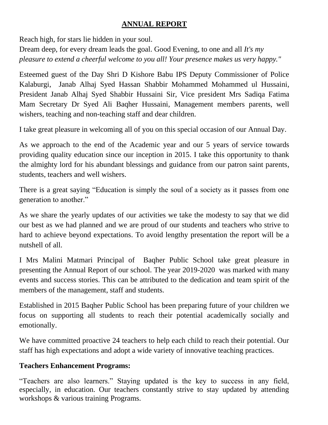#### **ANNUAL REPORT**

Reach high, for stars lie hidden in your soul. Dream deep, for every dream leads the goal. Good Evening, to one and all *It's my pleasure to extend a cheerful welcome to you all! Your presence makes us very happy."*

Esteemed guest of the Day Shri D Kishore Babu IPS Deputy Commissioner of Police Kalaburgi, Janab Alhaj Syed Hassan Shabbir Mohammed Mohammed ul Hussaini, President Janab Alhaj Syed Shabbir Hussaini Sir, Vice president Mrs Sadiqa Fatima Mam Secretary Dr Syed Ali Baqher Hussaini, Management members parents, well wishers, teaching and non-teaching staff and dear children.

I take great pleasure in welcoming all of you on this special occasion of our Annual Day.

As we approach to the end of the Academic year and our 5 years of service towards providing quality education since our inception in 2015. I take this opportunity to thank the almighty lord for his abundant blessings and guidance from our patron saint parents, students, teachers and well wishers.

There is a great saying "Education is simply the soul of a society as it passes from one generation to another."

As we share the yearly updates of our activities we take the modesty to say that we did our best as we had planned and we are proud of our students and teachers who strive to hard to achieve beyond expectations. To avoid lengthy presentation the report will be a nutshell of all.

I Mrs Malini Matmari Principal of Baqher Public School take great pleasure in presenting the Annual Report of our school. The year 2019-2020 was marked with many events and success stories. This can be attributed to the dedication and team spirit of the members of the management, staff and students.

Established in 2015 Baqher Public School has been preparing future of your children we focus on supporting all students to reach their potential academically socially and emotionally.

We have committed proactive 24 teachers to help each child to reach their potential. Our staff has high expectations and adopt a wide variety of innovative teaching practices.

#### **Teachers Enhancement Programs:**

"Teachers are also learners." Staying updated is the key to success in any field, especially, in education. Our teachers constantly strive to stay updated by attending workshops & various training Programs.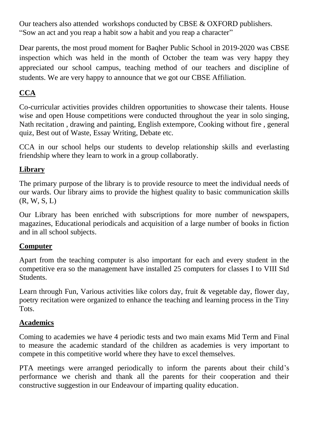Our teachers also attended workshops conducted by CBSE & OXFORD publishers. "Sow an act and you reap a habit sow a habit and you reap a character"

Dear parents, the most proud moment for Baqher Public School in 2019-2020 was CBSE inspection which was held in the month of October the team was very happy they appreciated our school campus, teaching method of our teachers and discipline of students. We are very happy to announce that we got our CBSE Affiliation.

# **CCA**

Co-curricular activities provides children opportunities to showcase their talents. House wise and open House competitions were conducted throughout the year in solo singing, Nath recitation , drawing and painting, English extempore, Cooking without fire , general quiz, Best out of Waste, Essay Writing, Debate etc.

CCA in our school helps our students to develop relationship skills and everlasting friendship where they learn to work in a group collaboratly.

## **Library**

The primary purpose of the library is to provide resource to meet the individual needs of our wards. Our library aims to provide the highest quality to basic communication skills  $(R, W, S, L)$ 

Our Library has been enriched with subscriptions for more number of newspapers, magazines, Educational periodicals and acquisition of a large number of books in fiction and in all school subjects.

## **Computer**

Apart from the teaching computer is also important for each and every student in the competitive era so the management have installed 25 computers for classes I to VIII Std Students.

Learn through Fun, Various activities like colors day, fruit & vegetable day, flower day, poetry recitation were organized to enhance the teaching and learning process in the Tiny Tots.

## **Academics**

Coming to academies we have 4 periodic tests and two main exams Mid Term and Final to measure the academic standard of the children as academies is very important to compete in this competitive world where they have to excel themselves.

PTA meetings were arranged periodically to inform the parents about their child's performance we cherish and thank all the parents for their cooperation and their constructive suggestion in our Endeavour of imparting quality education.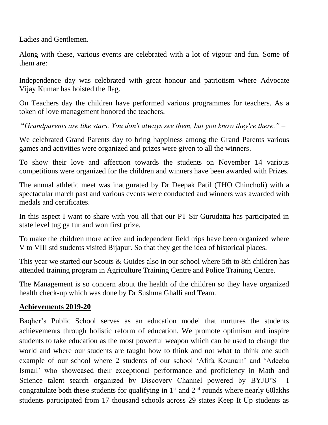Ladies and Gentlemen.

Along with these, various events are celebrated with a lot of vigour and fun. Some of them are:

Independence day was celebrated with great honour and patriotism where Advocate Vijay Kumar has hoisted the flag.

On Teachers day the children have performed various programmes for teachers. As a token of love management honored the teachers.

"*Grandparents are like stars. You don't always see them, but you know they're there." –*

We celebrated Grand Parents day to bring happiness among the Grand Parents various games and activities were organized and prizes were given to all the winners.

To show their love and affection towards the students on November 14 various competitions were organized for the children and winners have been awarded with Prizes.

The annual athletic meet was inaugurated by Dr Deepak Patil (THO Chincholi) with a spectacular march past and various events were conducted and winners was awarded with medals and certificates.

In this aspect I want to share with you all that our PT Sir Gurudatta has participated in state level tug ga fur and won first prize.

To make the children more active and independent field trips have been organized where V to VIII std students visited Bijapur. So that they get the idea of historical places.

This year we started our Scouts & Guides also in our school where 5th to 8th children has attended training program in Agriculture Training Centre and Police Training Centre.

The Management is so concern about the health of the children so they have organized health check-up which was done by Dr Sushma Ghalli and Team.

#### **Achievements 2019-20**

Baqher's Public School serves as an education model that nurtures the students achievements through holistic reform of education. We promote optimism and inspire students to take education as the most powerful weapon which can be used to change the world and where our students are taught how to think and not what to think one such example of our school where 2 students of our school 'Afifa Kounain' and 'Adeeba Ismail' who showcased their exceptional performance and proficiency in Math and Science talent search organized by Discovery Channel powered by BYJU'S I congratulate both these students for qualifying in  $1<sup>st</sup>$  and  $2<sup>nd</sup>$  rounds where nearly 60lakhs students participated from 17 thousand schools across 29 states Keep It Up students as